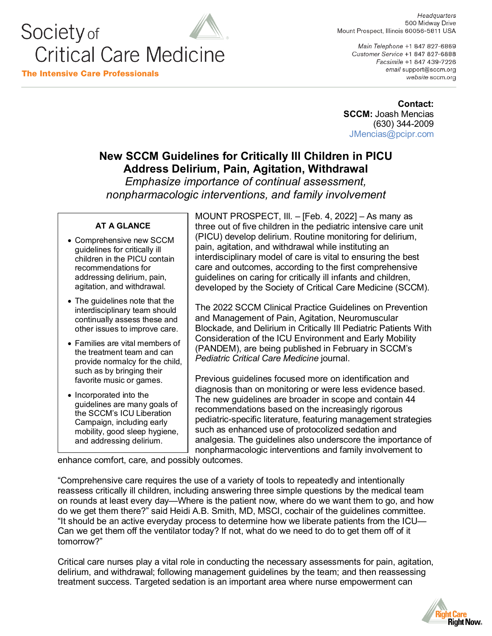

Headquarters 500 Midway Drive Mount Prospect, Illinois 60056-5811 USA

Main Telephone +1 847 827-6869 Customer Service +1 847 827-6888 Facsimile +1 847 439-7226 email support@sccm.org website sccm.org

**Contact: SCCM:** Joash Mencias (630) 344-2009 [JMencias@pcipr.com](mailto:JMencias@pcipr.com)

## **New SCCM Guidelines for Critically Ill Children in PICU Address Delirium, Pain, Agitation, Withdrawal**

*Emphasize importance of continual assessment, nonpharmacologic interventions, and family involvement*

## **AT A GLANCE**

- Comprehensive new SCCM guidelines for critically ill children in the PICU contain recommendations for addressing delirium, pain, agitation, and withdrawal.
- The guidelines note that the interdisciplinary team should continually assess these and other issues to improve care.
- Families are vital members of the treatment team and can provide normalcy for the child, such as by bringing their favorite music or games.
- Incorporated into the guidelines are many goals of the SCCM's ICU Liberation Campaign, including early mobility, good sleep hygiene, and addressing delirium.

MOUNT PROSPECT, Ill. – [Feb. 4, 2022] – As many as three out of five children in the pediatric intensive care unit (PICU) develop delirium. Routine monitoring for delirium, pain, agitation, and withdrawal while instituting an interdisciplinary model of care is vital to ensuring the best care and outcomes, according to the first comprehensive guidelines on caring for critically ill infants and children, developed by the Society of Critical Care Medicine (SCCM).

The 2022 SCCM Clinical Practice Guidelines on Prevention and Management of Pain, Agitation, Neuromuscular Blockade, and Delirium in Critically Ill Pediatric Patients With Consideration of the ICU Environment and Early Mobility (PANDEM), are being published in February in SCCM's *Pediatric Critical Care Medicine* journal.

Previous guidelines focused more on identification and diagnosis than on monitoring or were less evidence based. The new guidelines are broader in scope and contain 44 recommendations based on the increasingly rigorous pediatric-specific literature, featuring management strategies such as enhanced use of protocolized sedation and analgesia. The guidelines also underscore the importance of nonpharmacologic interventions and family involvement to

enhance comfort, care, and possibly outcomes.

"Comprehensive care requires the use of a variety of tools to repeatedly and intentionally reassess critically ill children, including answering three simple questions by the medical team on rounds at least every day—Where is the patient now, where do we want them to go, and how do we get them there?" said Heidi A.B. Smith, MD, MSCI, cochair of the guidelines committee. "It should be an active everyday process to determine how we liberate patients from the ICU— Can we get them off the ventilator today? If not, what do we need to do to get them off of it tomorrow?"

Critical care nurses play a vital role in conducting the necessary assessments for pain, agitation, delirium, and withdrawal; following management guidelines by the team; and then reassessing treatment success. Targeted sedation is an important area where nurse empowerment can

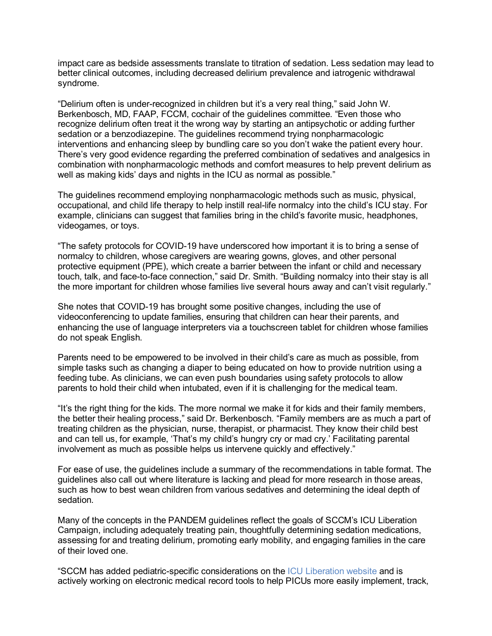impact care as bedside assessments translate to titration of sedation. Less sedation may lead to better clinical outcomes, including decreased delirium prevalence and iatrogenic withdrawal syndrome.

"Delirium often is under-recognized in children but it's a very real thing," said John W. Berkenbosch, MD, FAAP, FCCM, cochair of the guidelines committee. "Even those who recognize delirium often treat it the wrong way by starting an antipsychotic or adding further sedation or a benzodiazepine. The guidelines recommend trying nonpharmacologic interventions and enhancing sleep by bundling care so you don't wake the patient every hour. There's very good evidence regarding the preferred combination of sedatives and analgesics in combination with nonpharmacologic methods and comfort measures to help prevent delirium as well as making kids' days and nights in the ICU as normal as possible."

The guidelines recommend employing nonpharmacologic methods such as music, physical, occupational, and child life therapy to help instill real-life normalcy into the child's ICU stay. For example, clinicians can suggest that families bring in the child's favorite music, headphones, videogames, or toys.

"The safety protocols for COVID-19 have underscored how important it is to bring a sense of normalcy to children, whose caregivers are wearing gowns, gloves, and other personal protective equipment (PPE), which create a barrier between the infant or child and necessary touch, talk, and face-to-face connection," said Dr. Smith. "Building normalcy into their stay is all the more important for children whose families live several hours away and can't visit regularly."

She notes that COVID-19 has brought some positive changes, including the use of videoconferencing to update families, ensuring that children can hear their parents, and enhancing the use of language interpreters via a touchscreen tablet for children whose families do not speak English.

Parents need to be empowered to be involved in their child's care as much as possible, from simple tasks such as changing a diaper to being educated on how to provide nutrition using a feeding tube. As clinicians, we can even push boundaries using safety protocols to allow parents to hold their child when intubated, even if it is challenging for the medical team.

"It's the right thing for the kids. The more normal we make it for kids and their family members, the better their healing process," said Dr. Berkenbosch. "Family members are as much a part of treating children as the physician, nurse, therapist, or pharmacist. They know their child best and can tell us, for example, 'That's my child's hungry cry or mad cry.' Facilitating parental involvement as much as possible helps us intervene quickly and effectively."

For ease of use, the guidelines include a summary of the recommendations in table format. The guidelines also call out where literature is lacking and plead for more research in those areas, such as how to best wean children from various sedatives and determining the ideal depth of sedation.

Many of the concepts in the PANDEM guidelines reflect the goals of SCCM's ICU Liberation Campaign, including adequately treating pain, thoughtfully determining sedation medications, assessing for and treating delirium, promoting early mobility, and engaging families in the care of their loved one.

"SCCM has added pediatric-specific considerations on the [ICU Liberation website](https://www.sccm.org/Clinical-Resources/ICULiberation-Home) and is actively working on electronic medical record tools to help PICUs more easily implement, track,